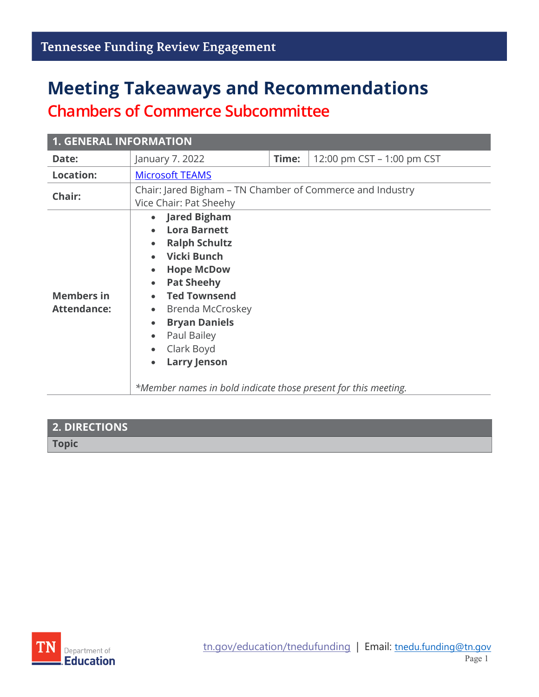# **Meeting Takeaways and Recommendations Chambers of Commerce Subcommittee**

| <b>1. GENERAL INFORMATION</b>           |                                                                                                                                                                                                                                                                                                                                                                                                      |       |                            |
|-----------------------------------------|------------------------------------------------------------------------------------------------------------------------------------------------------------------------------------------------------------------------------------------------------------------------------------------------------------------------------------------------------------------------------------------------------|-------|----------------------------|
| Date:                                   | January 7. 2022                                                                                                                                                                                                                                                                                                                                                                                      | Time: | 12:00 pm CST - 1:00 pm CST |
| <b>Location:</b>                        | <b>Microsoft TEAMS</b>                                                                                                                                                                                                                                                                                                                                                                               |       |                            |
| Chair:                                  | Chair: Jared Bigham – TN Chamber of Commerce and Industry<br>Vice Chair: Pat Sheehy                                                                                                                                                                                                                                                                                                                  |       |                            |
| <b>Members in</b><br><b>Attendance:</b> | • Jared Bigham<br><b>Lora Barnett</b><br><b>Ralph Schultz</b><br><b>Vicki Bunch</b><br><b>Hope McDow</b><br>$\bullet$<br><b>Pat Sheehy</b><br>$\bullet$<br><b>Ted Townsend</b><br>Brenda McCroskey<br>$\bullet$<br><b>Bryan Daniels</b><br>$\bullet$<br>Paul Bailey<br>$\bullet$<br>Clark Boyd<br>$\bullet$<br><b>Larry Jenson</b><br>*Member names in bold indicate those present for this meeting. |       |                            |

## **2. DIRECTIONS Topic**

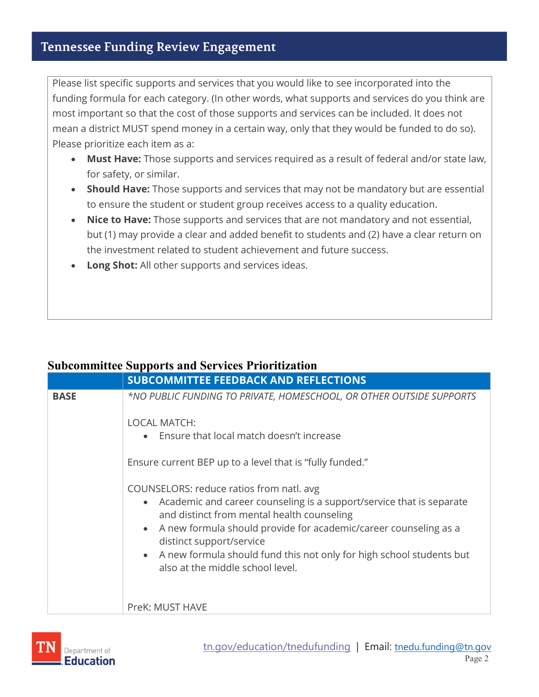### **Tennessee Funding Review Engagement**

Please list specific supports and services that you would like to see incorporated into the funding formula for each category. (In other words, what supports and services do you think are most important so that the cost of those supports and services can be included. It does not mean a district MUST spend money in a certain way, only that they would be funded to do so). Please prioritize each item as a:

- **Must Have:** Those supports and services required as a result of federal and/or state law, for safety, or similar.
- **Should Have:** Those supports and services that may not be mandatory but are essential to ensure the student or student group receives access to a quality education.
- **Nice to Have:** Those supports and services that are not mandatory and not essential, but (1) may provide a clear and added benefit to students and (2) have a clear return on the investment related to student achievement and future success.
- **Long Shot:** All other supports and services ideas.

#### **Subcommittee Supports and Services Prioritization**

|             | <b>SUBCOMMITTEE FEEDBACK AND REFLECTIONS</b>                                                                                                                                                                                                                                                                                                                                                           |
|-------------|--------------------------------------------------------------------------------------------------------------------------------------------------------------------------------------------------------------------------------------------------------------------------------------------------------------------------------------------------------------------------------------------------------|
| <b>BASE</b> | *NO PUBLIC FUNDING TO PRIVATE, HOMESCHOOL, OR OTHER OUTSIDE SUPPORTS                                                                                                                                                                                                                                                                                                                                   |
|             | <b>LOCAL MATCH:</b><br>• Ensure that local match doesn't increase                                                                                                                                                                                                                                                                                                                                      |
|             | Ensure current BEP up to a level that is "fully funded."                                                                                                                                                                                                                                                                                                                                               |
|             | COUNSELORS: reduce ratios from natl. avg<br>Academic and career counseling is a support/service that is separate<br>$\bullet$<br>and distinct from mental health counseling<br>A new formula should provide for academic/career counseling as a<br>$\bullet$<br>distinct support/service<br>• A new formula should fund this not only for high school students but<br>also at the middle school level. |
|             | PreK: MUST HAVE                                                                                                                                                                                                                                                                                                                                                                                        |

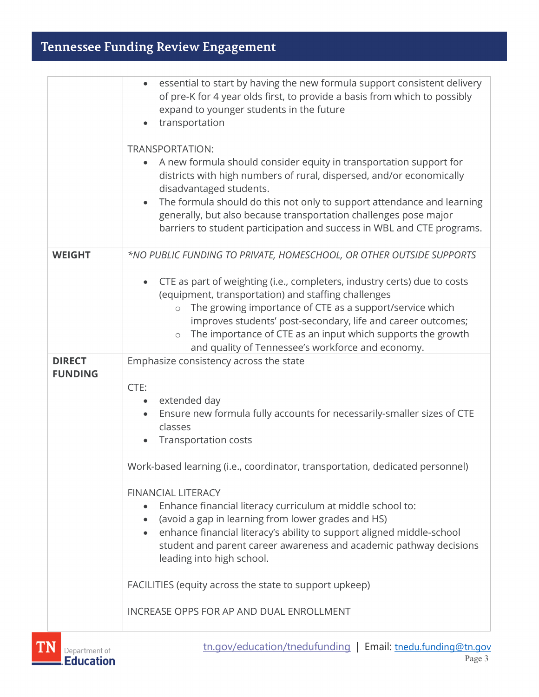## Tennessee Funding Review Engagement

|                                 | essential to start by having the new formula support consistent delivery<br>of pre-K for 4 year olds first, to provide a basis from which to possibly<br>expand to younger students in the future<br>transportation<br>TRANSPORTATION:<br>A new formula should consider equity in transportation support for<br>districts with high numbers of rural, dispersed, and/or economically<br>disadvantaged students.<br>The formula should do this not only to support attendance and learning<br>$\bullet$<br>generally, but also because transportation challenges pose major<br>barriers to student participation and success in WBL and CTE programs.                                                               |
|---------------------------------|--------------------------------------------------------------------------------------------------------------------------------------------------------------------------------------------------------------------------------------------------------------------------------------------------------------------------------------------------------------------------------------------------------------------------------------------------------------------------------------------------------------------------------------------------------------------------------------------------------------------------------------------------------------------------------------------------------------------|
| <b>WEIGHT</b>                   | *NO PUBLIC FUNDING TO PRIVATE, HOMESCHOOL, OR OTHER OUTSIDE SUPPORTS<br>CTE as part of weighting (i.e., completers, industry certs) due to costs<br>(equipment, transportation) and staffing challenges<br>The growing importance of CTE as a support/service which<br>$\circ$<br>improves students' post-secondary, life and career outcomes;<br>The importance of CTE as an input which supports the growth<br>$\circ$<br>and quality of Tennessee's workforce and economy.                                                                                                                                                                                                                                      |
| <b>DIRECT</b><br><b>FUNDING</b> | Emphasize consistency across the state<br>CTE:<br>extended day<br>$\bullet$<br>Ensure new formula fully accounts for necessarily-smaller sizes of CTE<br>classes<br><b>Transportation costs</b><br>Work-based learning (i.e., coordinator, transportation, dedicated personnel)<br><b>FINANCIAL LITERACY</b><br>Enhance financial literacy curriculum at middle school to:<br>(avoid a gap in learning from lower grades and HS)<br>enhance financial literacy's ability to support aligned middle-school<br>student and parent career awareness and academic pathway decisions<br>leading into high school.<br>FACILITIES (equity across the state to support upkeep)<br>INCREASE OPPS FOR AP AND DUAL ENROLLMENT |

[tn.gov/education/tnedufunding](https://www.tn.gov/education/tnedufunding.html) | Email: tnedu.funding@tn.gov